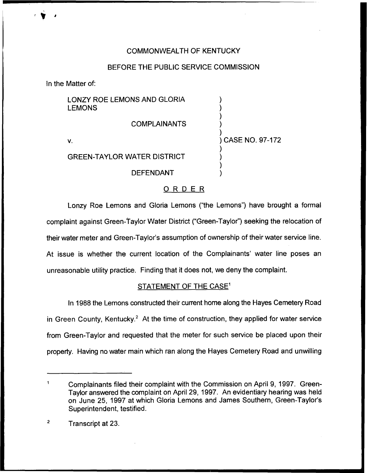## COMMONWEALTH OF KENTUCKY

## BEFORE THE PUBLIC SERVICE COMMISSION

In the Matter of:

| LONZY ROE LEMONS AND GLORIA<br><b>LEMONS</b> |                   |
|----------------------------------------------|-------------------|
| <b>COMPLAINANTS</b>                          |                   |
| V.                                           | ) CASE NO. 97-172 |
| <b>GREEN-TAYLOR WATER DISTRICT</b>           |                   |
| <b>DEFENDANT</b>                             |                   |
|                                              |                   |

# ORDER

Lonzy Roe Lemons and Gloria Lemons ("the Lemons") have brought a formal complaint against Green-Taylor Water District ("Green-Taylor") seeking the relocation of their water meter and Green-Taylor's assumption of ownership of their water service line. At issue is whether the current location of the Complainants' water line poses an unreasonable utility practice. Finding that it does not, we deny the complaint.

### STATEMENT OF THE CASE<sup>1</sup>

In 1988 the Lemons constructed their current home along the Hayes Cemetery Road in Green County, Kentucky. $2$  At the time of construction, they applied for water service from Green-Taylor and requested that the meter for such service be placed upon their property. Having no water main which ran along the Hayes Cemetery Road and unwilling

 $\ddot{\mathbf{1}}$ Complainants filed their complaint with the Commission on April 9, 1997. Green-Taylor answered the complaint on April 29, 1997. An evidentiary hearing was held on June 25, 1997 at which Gloria Lemons and James Southern, Green-Taylor's Superintendent, testified.

 $\overline{2}$ Transcript at 23.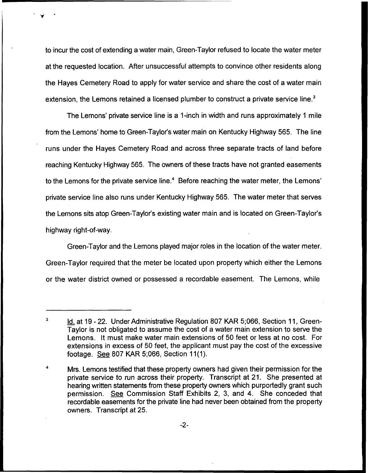to incur the cost of extending a water main, Green-Taylor refused to locate the water meter at the requested location, After unsuccessful attempts to convince other residents along the Hayes Cemetery Road to apply for water service and share the cost of a water main extension, the Lemons retained a licensed plumber to construct a private service line.<sup>3</sup>

The Lemons' private service line is a 1-inch in width and runs approximately 1 mile from the Lemons' home to Green-Taylor's water main on Kentucky Highway 565. The line runs under the Hayes Cemetery Road and across three separate tracts of land before reaching Kentucky Highway 565. The owners of these tracts have not granted easements to the Lemons for the private service line.<sup>4</sup> Before reaching the water meter, the Lemons' private service line also runs under Kentucky Highway 565. The water meter that serves the Lemons sits atop Green-Taylor's existing water main and is located on Green-Taylor's highway right-of-way.

Green-Taylor and the Lemons played major roles in the location of the water meter. Green-Taylor required that the meter be located upon property which either the Lemons or the water district owned or possessed a recordable easement. The Lemons, while

 $\overline{\mathbf{3}}$ Id. at 19 - 22. Under Administrative Regulation 807 KAR 5;066, Section 11, Green-Taylor is not obligated to assume the cost of a water main extension to serve the Lemons. It must make water main extensions of 50 feet or less at no cost. For extensions in excess of 50 feet, the applicant must pay the cost of the excessive footage. See 807 KAR 5;066, Section 11(1).

<sup>4</sup> Mrs. Lemons testified that these property owners had given their permission for the private service to run across their property. Transcript at 21. She presented at hearing written statements from these property owners which purportedly grant such permission. See Commission Staff Exhibits 2, 3, and 4. She conceded that recordable easements for the private line had never been obtained from the property owners. Transcript at 25.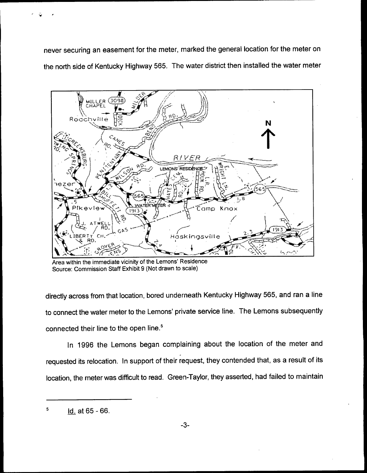never securing an easement for the meter, marked the general location for the meter on the north side of Kentucky Highway 565. The water district then installed the water meter



Area within the immediate vicinity of the Lemons' Residence Source: Commission Staff Exhibit 9 (Not drawn to scale)

directly across from that location, bored underneath Kentucky Highway 565, and ran a line to connect the water meter to the Lemons' private service line. The Lemons subsequently connected their line to the open line.<sup>5</sup>

In 1996 the Lemons began complaining about the location of the meter and requested its relocation. In support of their request, they contended that, as a result of its location, the meter was difficult to read. Green-Taylor, they asserted, had failed to maintain

 $\overline{\mathbf{5}}$ Id. at 65-66.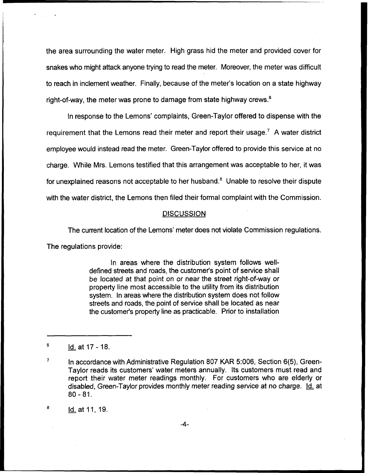the area surrounding the water meter. High grass hid the meter and provided cover for snakes who might attack anyone trying to read the meter. Moreover, the meter was difficult to reach in inclement weather. Finally, because of the meter's location on a state highway right-of-way, the meter was prone to damage from state highway crews.<sup>6</sup>

In response to the Lemons' complaints, Green-Taylor offered to dispense with the requirement that the Lemons read their meter and report their usage.<sup>7</sup> A water district employee would instead read the meter. Green-Taylor offered to provide this service at no charge. While Mrs. Lemons testified that this arrangement was acceptable to her, it was for unexplained reasons not acceptable to her husband. $<sup>8</sup>$  Unable to resolve their dispute</sup> with the water district, the Lemons then filed their formal complaint with the Commission.

#### **DISCUSSION**

The current location of the Lemons' meter does not violate Commission regulations.

The regulations provide:

In areas where the distribution system follows welldefined streets and roads, the customer's point of service shall be located at that point on or near the street right-of-way or property line most accessible to the utility from its distribution system. In areas where the distribution system does not follow streets and roads, the point of service shall be located as near the customer's property line as practicable. Prior to installation

8 Id. at 11, 19.

-4-

<sup>6</sup> ld. at17-18.

 $\overline{7}$ In accordance with Administrative Regulation 807 KAR 5:006, Section 6(5), Green-Taylor reads its customers' water meters annually. Its customers must read and report their water meter readings monthly. For customers who are elderly or disabled, Green-Taylor provides monthly meter reading service at no charge. Id. at 80- 81.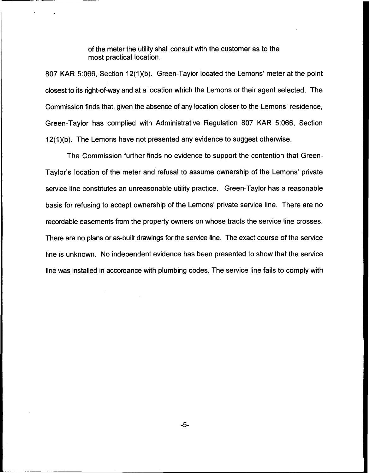of the meter the utility shall consult with the customer as to the most practical location.

807 KAR 5:066, Section 12(1)(b). Green-Taylor located the Lemons' meter at the point closest to its right-of-way and at a location which the Lemons or their agent selected. The Commission finds that, given the absence of any location closer to the Lemons' residence, Green-Taylor has complied with Administrative Regulation 80? KAR 5:066, Section 12(1)(b). The Lemons have not presented any evidence to suggest otherwise.

The Commission further finds no evidence to support the contention that Green-Taylor's location of the meter and refusal to assume ownership of the Lemons' private service line constitutes an unreasonable utility practice. Green-Taylor has a reasonable basis for refusing to accept ownership of the Lemons' private service line. There are no recordable easements from the property owners on whose tracts the service line crosses. There are no plans or as-built drawings for the service line. The exact course of the service line is unknown. No independent evidence has been presented to show that the service line was installed in accordance with plumbing codes. The service line fails to comply with

-5-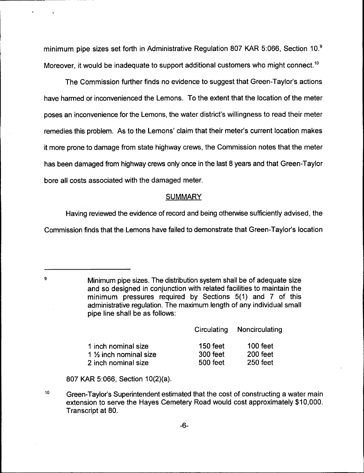minimum pipe sizes set forth in Administrative Regulation 807 KAR 5:066, Section 10.<sup>9</sup> it would be inadequate to support additional customers who might connect

The Commission further finds no evidence to suggest that Green-Taylor's actions have harmed or inconvenienced the Lemons. To the extent that the location of the meter poses an inconvenience for the Lemons, the water district's willingness to read their meter remedies this problem. As to the Lemons' claim that their meter's current location makes it more prone to damage from state highway crews, the Commission notes that the meter has been damaged from highway crews only once in the last 8 years and that Green-Taylor bore all costs associated with the damaged meter.

#### **SUMMARY**

Having reviewed the evidence of record and being otherwise sufficiently advised, the

Commission finds that the Lemons have failed to demonstrate that Green-Taylor's location

Minimum pipe sizes. The distribution system shall be of adequate size and so designed in conjunction with related facilities to maintain the minimum pressures required by Sections 5(1) and 7 of this administrative regulation. The maximum length of any individual small pipe line shall be as follows:

|                                                          | Circulating          | Noncirculating       |
|----------------------------------------------------------|----------------------|----------------------|
| 1 inch nominal size                                      | 150 feet<br>300 feet | 100 feet<br>200 feet |
| 1 $\frac{1}{2}$ inch nominal size<br>2 inch nominal size | 500 feet             | 250 feet             |

807 KAR 5:066, Section 10(2)(a).

 $\mathbf{q}$ 

10 Green-Taylor's Superintendent estimated that the cost of constructing a water main extension to serve the Hayes Cemetery Road would cost approximately \$10,000. Transcript at 80.